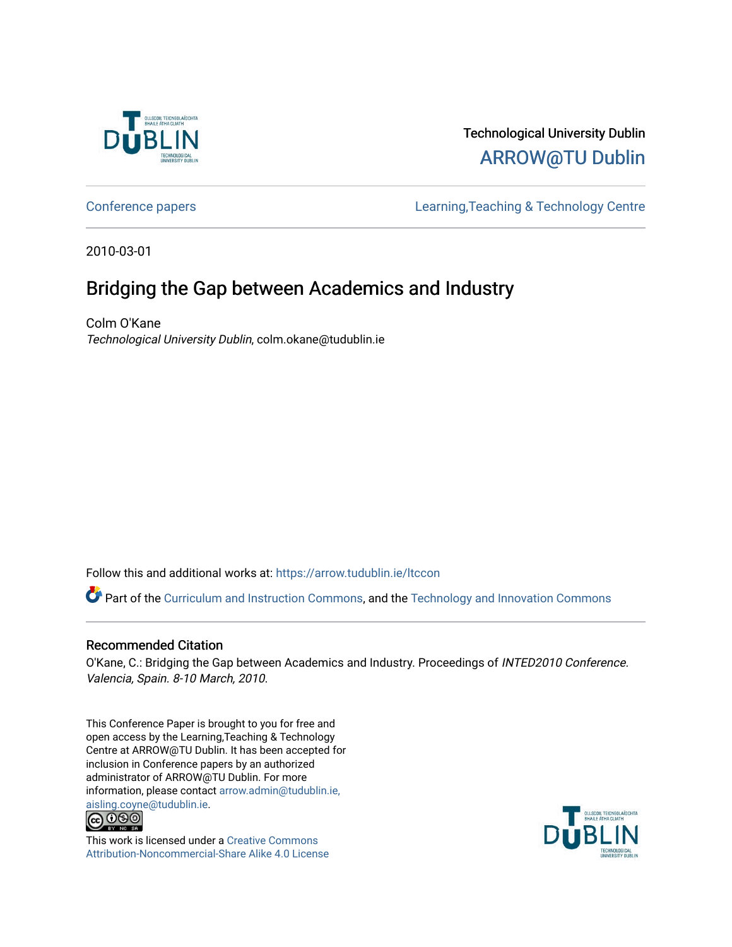

## Technological University Dublin [ARROW@TU Dublin](https://arrow.tudublin.ie/)

[Conference papers](https://arrow.tudublin.ie/ltccon) [Learning,Teaching & Technology Centre](https://arrow.tudublin.ie/ltc) 

2010-03-01

# Bridging the Gap between Academics and Industry

Colm O'Kane Technological University Dublin, colm.okane@tudublin.ie

Follow this and additional works at: [https://arrow.tudublin.ie/ltccon](https://arrow.tudublin.ie/ltccon?utm_source=arrow.tudublin.ie%2Fltccon%2F4&utm_medium=PDF&utm_campaign=PDFCoverPages)

Part of the [Curriculum and Instruction Commons,](http://network.bepress.com/hgg/discipline/786?utm_source=arrow.tudublin.ie%2Fltccon%2F4&utm_medium=PDF&utm_campaign=PDFCoverPages) and the Technology and Innovation Commons

#### Recommended Citation

O'Kane, C.: Bridging the Gap between Academics and Industry. Proceedings of INTED2010 Conference. Valencia, Spain. 8-10 March, 2010.

This Conference Paper is brought to you for free and open access by the Learning,Teaching & Technology Centre at ARROW@TU Dublin. It has been accepted for inclusion in Conference papers by an authorized administrator of ARROW@TU Dublin. For more information, please contact [arrow.admin@tudublin.ie,](mailto:arrow.admin@tudublin.ie,%20aisling.coyne@tudublin.ie)  [aisling.coyne@tudublin.ie.](mailto:arrow.admin@tudublin.ie,%20aisling.coyne@tudublin.ie)<br>© 090



This work is licensed under a [Creative Commons](http://creativecommons.org/licenses/by-nc-sa/4.0/) [Attribution-Noncommercial-Share Alike 4.0 License](http://creativecommons.org/licenses/by-nc-sa/4.0/)

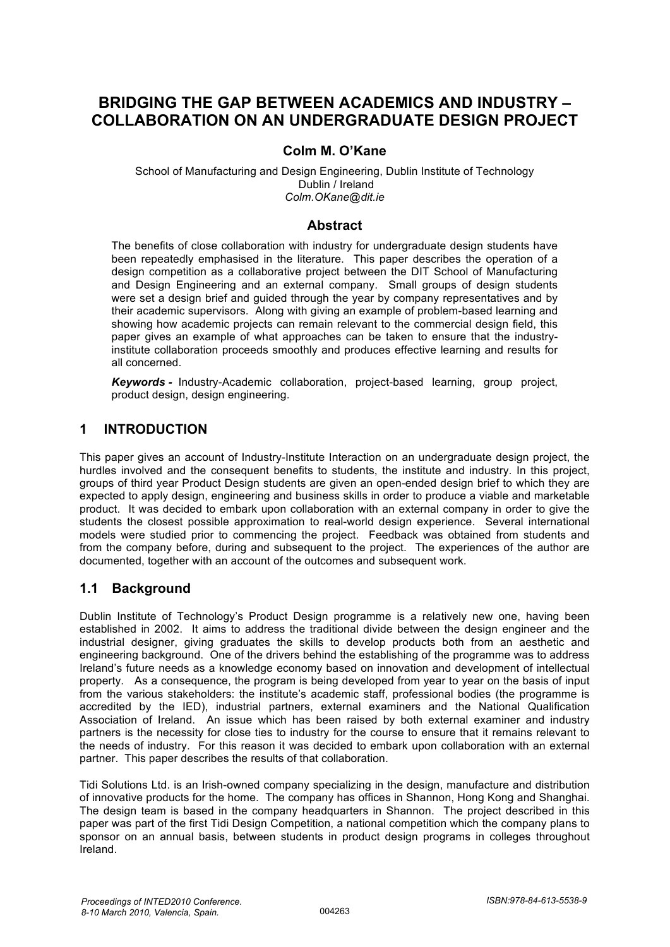## **BRIDGING THE GAP BETWEEN ACADEMICS AND INDUSTRY – COLLABORATION ON AN UNDERGRADUATE DESIGN PROJECT**

## **Colm M. O'Kane**

School of Manufacturing and Design Engineering, Dublin Institute of Technology Dublin / Ireland *Colm.OKane@dit.ie*

#### **Abstract**

The benefits of close collaboration with industry for undergraduate design students have been repeatedly emphasised in the literature. This paper describes the operation of a design competition as a collaborative project between the DIT School of Manufacturing and Design Engineering and an external company. Small groups of design students were set a design brief and guided through the year by company representatives and by their academic supervisors. Along with giving an example of problem-based learning and showing how academic projects can remain relevant to the commercial design field, this paper gives an example of what approaches can be taken to ensure that the industryinstitute collaboration proceeds smoothly and produces effective learning and results for all concerned.

*Keywords -* Industry-Academic collaboration, project-based learning, group project, product design, design engineering.

### **1 INTRODUCTION**

This paper gives an account of Industry-Institute Interaction on an undergraduate design project, the hurdles involved and the consequent benefits to students, the institute and industry. In this project, groups of third year Product Design students are given an open-ended design brief to which they are expected to apply design, engineering and business skills in order to produce a viable and marketable product. It was decided to embark upon collaboration with an external company in order to give the students the closest possible approximation to real-world design experience. Several international models were studied prior to commencing the project. Feedback was obtained from students and from the company before, during and subsequent to the project. The experiences of the author are documented, together with an account of the outcomes and subsequent work.

### **1.1 Background**

Dublin Institute of Technology's Product Design programme is a relatively new one, having been established in 2002. It aims to address the traditional divide between the design engineer and the industrial designer, giving graduates the skills to develop products both from an aesthetic and engineering background. One of the drivers behind the establishing of the programme was to address Ireland's future needs as a knowledge economy based on innovation and development of intellectual property. As a consequence, the program is being developed from year to year on the basis of input from the various stakeholders: the institute's academic staff, professional bodies (the programme is accredited by the IED), industrial partners, external examiners and the National Qualification Association of Ireland. An issue which has been raised by both external examiner and industry partners is the necessity for close ties to industry for the course to ensure that it remains relevant to the needs of industry. For this reason it was decided to embark upon collaboration with an external partner. This paper describes the results of that collaboration.

Tidi Solutions Ltd. is an Irish-owned company specializing in the design, manufacture and distribution of innovative products for the home. The company has offices in Shannon, Hong Kong and Shanghai. The design team is based in the company headquarters in Shannon. The project described in this paper was part of the first Tidi Design Competition, a national competition which the company plans to sponsor on an annual basis, between students in product design programs in colleges throughout Ireland.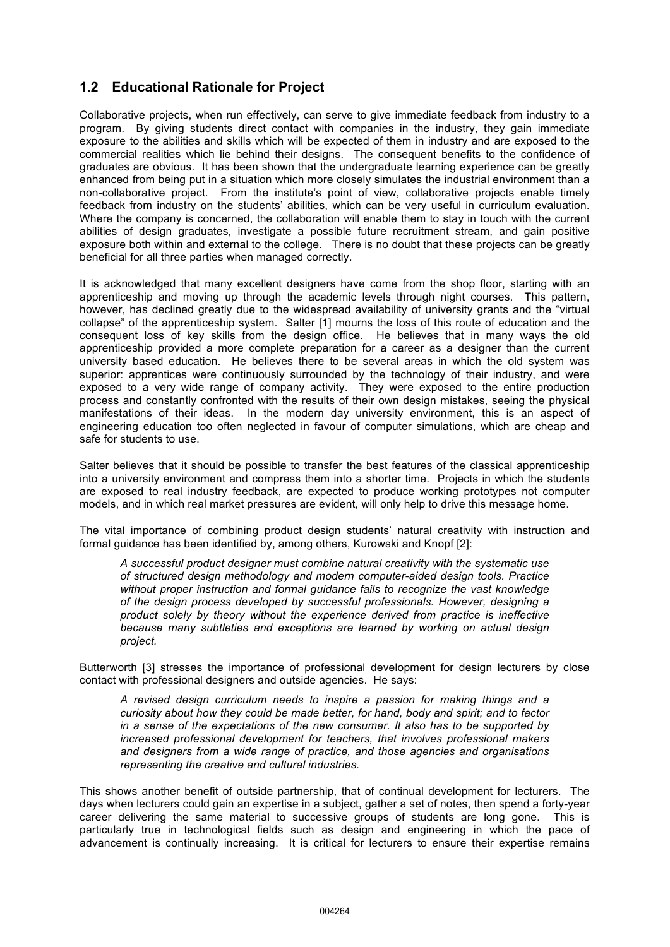## **1.2 Educational Rationale for Project**

Collaborative projects, when run effectively, can serve to give immediate feedback from industry to a program. By giving students direct contact with companies in the industry, they gain immediate exposure to the abilities and skills which will be expected of them in industry and are exposed to the commercial realities which lie behind their designs. The consequent benefits to the confidence of graduates are obvious. It has been shown that the undergraduate learning experience can be greatly enhanced from being put in a situation which more closely simulates the industrial environment than a non-collaborative project. From the institute's point of view, collaborative projects enable timely feedback from industry on the students' abilities, which can be very useful in curriculum evaluation. Where the company is concerned, the collaboration will enable them to stay in touch with the current abilities of design graduates, investigate a possible future recruitment stream, and gain positive exposure both within and external to the college. There is no doubt that these projects can be greatly beneficial for all three parties when managed correctly.

It is acknowledged that many excellent designers have come from the shop floor, starting with an apprenticeship and moving up through the academic levels through night courses. This pattern, however, has declined greatly due to the widespread availability of university grants and the "virtual collapse" of the apprenticeship system. Salter [1] mourns the loss of this route of education and the consequent loss of key skills from the design office. He believes that in many ways the old apprenticeship provided a more complete preparation for a career as a designer than the current university based education. He believes there to be several areas in which the old system was superior: apprentices were continuously surrounded by the technology of their industry, and were exposed to a very wide range of company activity. They were exposed to the entire production process and constantly confronted with the results of their own design mistakes, seeing the physical manifestations of their ideas. In the modern day university environment, this is an aspect of engineering education too often neglected in favour of computer simulations, which are cheap and safe for students to use.

Salter believes that it should be possible to transfer the best features of the classical apprenticeship into a university environment and compress them into a shorter time. Projects in which the students are exposed to real industry feedback, are expected to produce working prototypes not computer models, and in which real market pressures are evident, will only help to drive this message home.

The vital importance of combining product design students' natural creativity with instruction and formal guidance has been identified by, among others, Kurowski and Knopf [2]:

*A successful product designer must combine natural creativity with the systematic use of structured design methodology and modern computer-aided design tools. Practice without proper instruction and formal guidance fails to recognize the vast knowledge of the design process developed by successful professionals. However, designing a product solely by theory without the experience derived from practice is ineffective because many subtleties and exceptions are learned by working on actual design project.*

Butterworth [3] stresses the importance of professional development for design lecturers by close contact with professional designers and outside agencies. He says:

*A revised design curriculum needs to inspire a passion for making things and a curiosity about how they could be made better, for hand, body and spirit; and to factor in a sense of the expectations of the new consumer. It also has to be supported by increased professional development for teachers, that involves professional makers and designers from a wide range of practice, and those agencies and organisations representing the creative and cultural industries.*

This shows another benefit of outside partnership, that of continual development for lecturers. The days when lecturers could gain an expertise in a subject, gather a set of notes, then spend a forty-year career delivering the same material to successive groups of students are long gone. This is particularly true in technological fields such as design and engineering in which the pace of advancement is continually increasing. It is critical for lecturers to ensure their expertise remains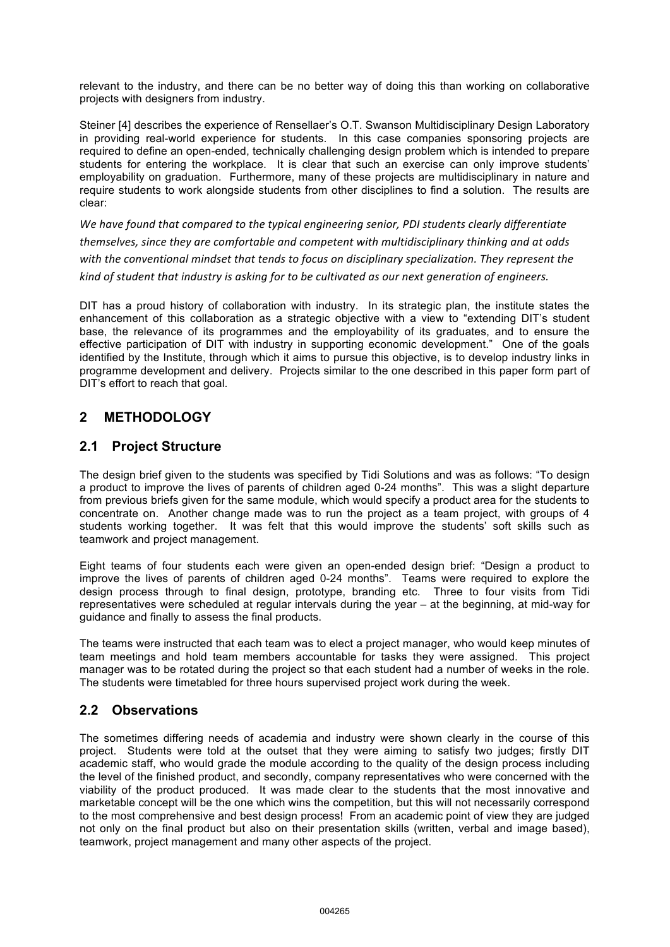relevant to the industry, and there can be no better way of doing this than working on collaborative projects with designers from industry.

Steiner [4] describes the experience of Rensellaer's O.T. Swanson Multidisciplinary Design Laboratory in providing real-world experience for students. In this case companies sponsoring projects are required to define an open-ended, technically challenging design problem which is intended to prepare students for entering the workplace. It is clear that such an exercise can only improve students' employability on graduation. Furthermore, many of these projects are multidisciplinary in nature and require students to work alongside students from other disciplines to find a solution. The results are clear:

*We have found that compared to the typical engineering senior, PDI students clearly differentiate themselves, since they are comfortable and competent with multidisciplinary thinking and at odds with the conventional mindset that tends to focus on disciplinary specialization. They represent the kind of student that industry is asking for to be cultivated as our next generation of engineers.* 

DIT has a proud history of collaboration with industry. In its strategic plan, the institute states the enhancement of this collaboration as a strategic objective with a view to "extending DIT's student base, the relevance of its programmes and the employability of its graduates, and to ensure the effective participation of DIT with industry in supporting economic development." One of the goals identified by the Institute, through which it aims to pursue this objective, is to develop industry links in programme development and delivery. Projects similar to the one described in this paper form part of DIT's effort to reach that goal.

## **2 METHODOLOGY**

### **2.1 Project Structure**

The design brief given to the students was specified by Tidi Solutions and was as follows: "To design a product to improve the lives of parents of children aged 0-24 months". This was a slight departure from previous briefs given for the same module, which would specify a product area for the students to concentrate on. Another change made was to run the project as a team project, with groups of 4 students working together. It was felt that this would improve the students' soft skills such as teamwork and project management.

Eight teams of four students each were given an open-ended design brief: "Design a product to improve the lives of parents of children aged 0-24 months". Teams were required to explore the design process through to final design, prototype, branding etc. Three to four visits from Tidi representatives were scheduled at regular intervals during the year – at the beginning, at mid-way for guidance and finally to assess the final products.

The teams were instructed that each team was to elect a project manager, who would keep minutes of team meetings and hold team members accountable for tasks they were assigned. This project manager was to be rotated during the project so that each student had a number of weeks in the role. The students were timetabled for three hours supervised project work during the week.

### **2.2 Observations**

The sometimes differing needs of academia and industry were shown clearly in the course of this project. Students were told at the outset that they were aiming to satisfy two judges; firstly DIT academic staff, who would grade the module according to the quality of the design process including the level of the finished product, and secondly, company representatives who were concerned with the viability of the product produced. It was made clear to the students that the most innovative and marketable concept will be the one which wins the competition, but this will not necessarily correspond to the most comprehensive and best design process! From an academic point of view they are judged not only on the final product but also on their presentation skills (written, verbal and image based), teamwork, project management and many other aspects of the project.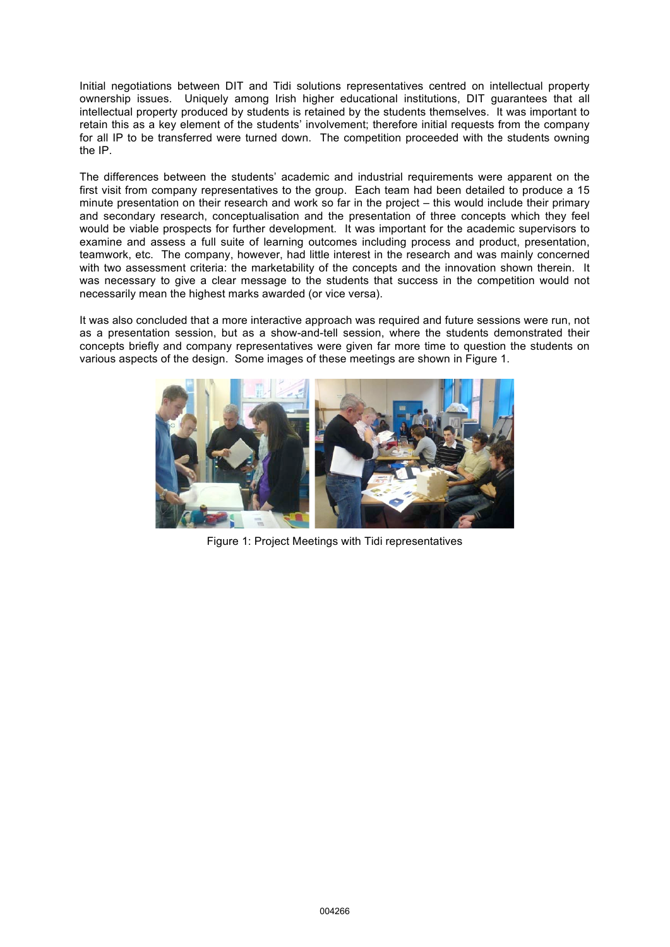Initial negotiations between DIT and Tidi solutions representatives centred on intellectual property ownership issues. Uniquely among Irish higher educational institutions, DIT guarantees that all intellectual property produced by students is retained by the students themselves. It was important to retain this as a key element of the students' involvement; therefore initial requests from the company for all IP to be transferred were turned down. The competition proceeded with the students owning the IP.

The differences between the students' academic and industrial requirements were apparent on the first visit from company representatives to the group. Each team had been detailed to produce a 15 minute presentation on their research and work so far in the project – this would include their primary and secondary research, conceptualisation and the presentation of three concepts which they feel would be viable prospects for further development. It was important for the academic supervisors to examine and assess a full suite of learning outcomes including process and product, presentation, teamwork, etc. The company, however, had little interest in the research and was mainly concerned with two assessment criteria: the marketability of the concepts and the innovation shown therein. It was necessary to give a clear message to the students that success in the competition would not necessarily mean the highest marks awarded (or vice versa).

It was also concluded that a more interactive approach was required and future sessions were run, not as a presentation session, but as a show-and-tell session, where the students demonstrated their concepts briefly and company representatives were given far more time to question the students on various aspects of the design. Some images of these meetings are shown in Figure 1.



Figure 1: Project Meetings with Tidi representatives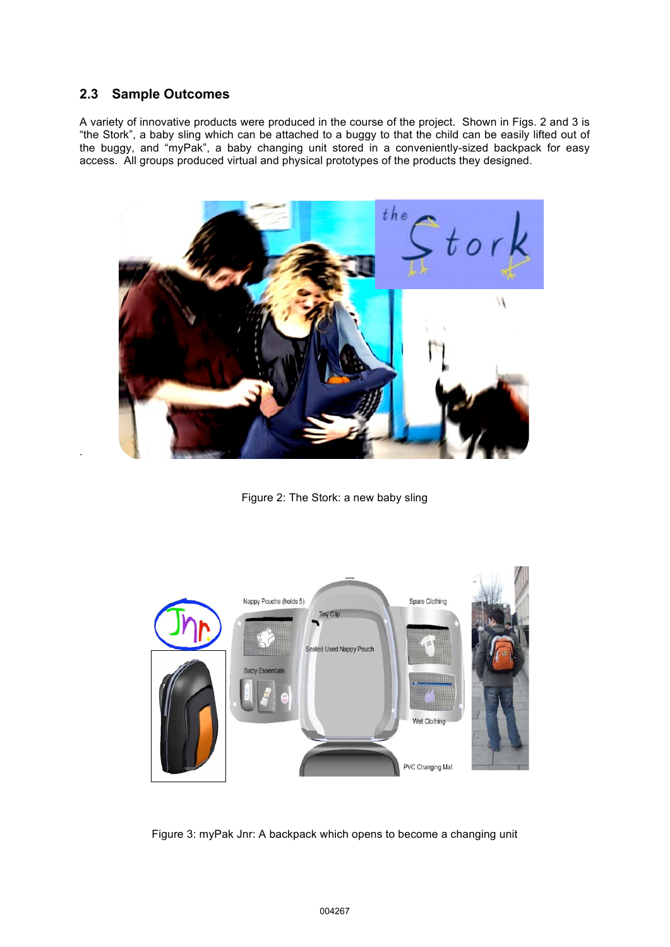### **2.3 Sample Outcomes**

.

A variety of innovative products were produced in the course of the project. Shown in Figs. 2 and 3 is "the Stork", a baby sling which can be attached to a buggy to that the child can be easily lifted out of the buggy, and "myPak", a baby changing unit stored in a conveniently-sized backpack for easy access. All groups produced virtual and physical prototypes of the products they designed.



Figure 2: The Stork: a new baby sling



Figure 3: myPak Jnr: A backpack which opens to become a changing unit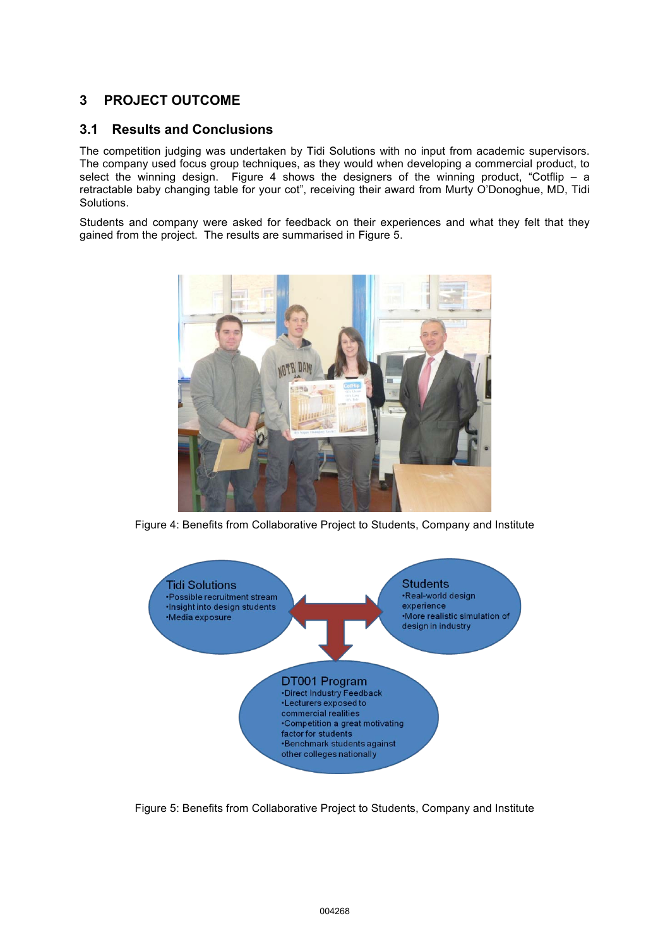## **3 PROJECT OUTCOME**

#### **3.1 Results and Conclusions**

The competition judging was undertaken by Tidi Solutions with no input from academic supervisors. The company used focus group techniques, as they would when developing a commercial product, to select the winning design. Figure 4 shows the designers of the winning product, "Cotflip  $-$  a retractable baby changing table for your cot", receiving their award from Murty O'Donoghue, MD, Tidi Solutions.

Students and company were asked for feedback on their experiences and what they felt that they gained from the project. The results are summarised in Figure 5.



Figure 4: Benefits from Collaborative Project to Students, Company and Institute



Figure 5: Benefits from Collaborative Project to Students, Company and Institute